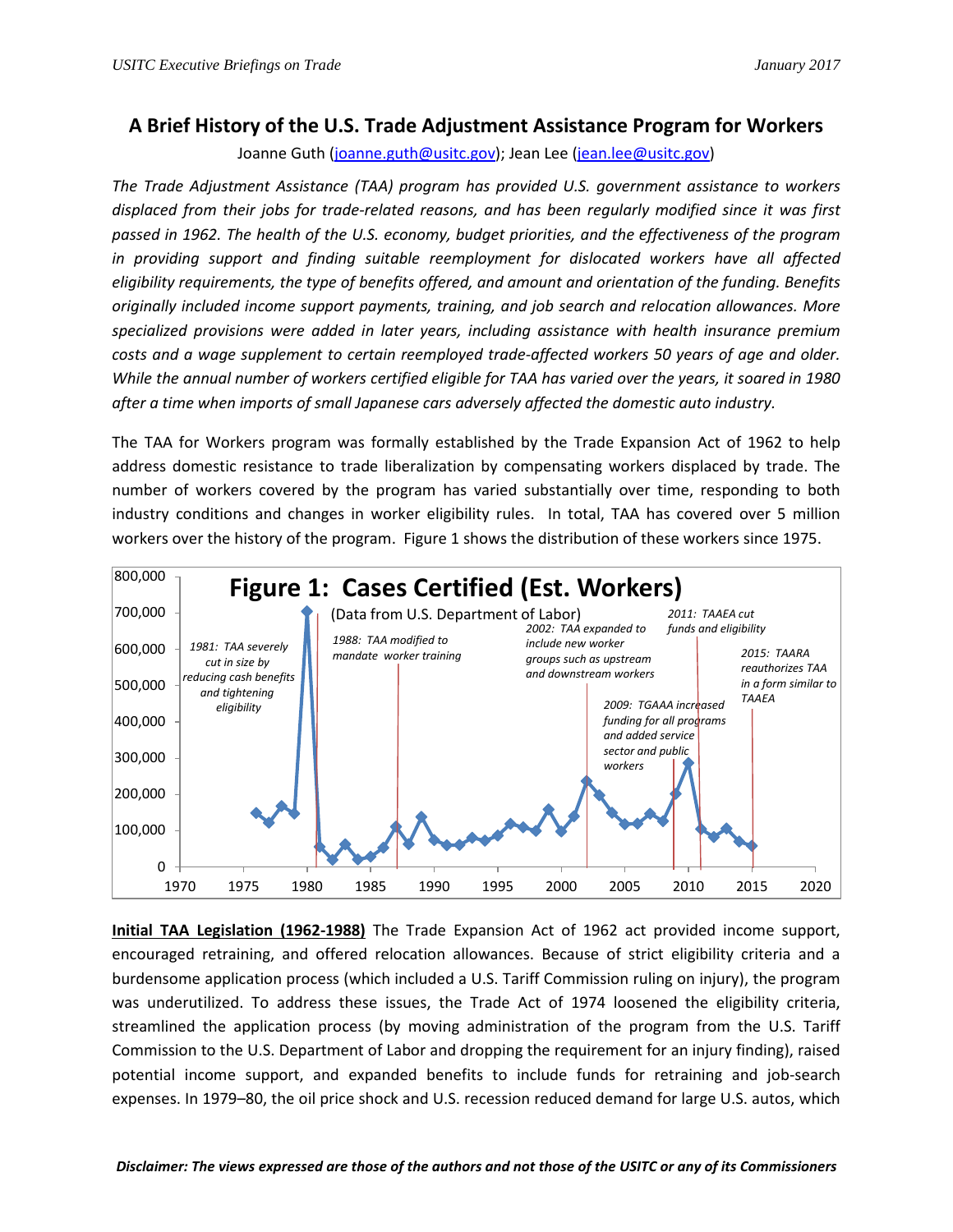## **A Brief History of the U.S. Trade Adjustment Assistance Program for Workers**

Joanne Guth [\(joanne.guth@usitc.gov\)](mailto:joanne.guth@usitc.gov); Jean Lee [\(jean.lee@usitc.gov\)](mailto:jean.lee@usitc.gov)

*The Trade Adjustment Assistance (TAA) program has provided U.S. government assistance to workers displaced from their jobs for trade-related reasons, and has been regularly modified since it was first passed in 1962. The health of the U.S. economy, budget priorities, and the effectiveness of the program in providing support and finding suitable reemployment for dislocated workers have all affected eligibility requirements, the type of benefits offered, and amount and orientation of the funding. Benefits originally included income support payments, training, and job search and relocation allowances. More specialized provisions were added in later years, including assistance with health insurance premium costs and a wage supplement to certain reemployed trade-affected workers 50 years of age and older. While the annual number of workers certified eligible for TAA has varied over the years, it soared in 1980 after a time when imports of small Japanese cars adversely affected the domestic auto industry.*

The TAA for Workers program was formally established by the Trade Expansion Act of 1962 to help address domestic resistance to trade liberalization by compensating workers displaced by trade. The number of workers covered by the program has varied substantially over time, responding to both industry conditions and changes in worker eligibility rules. In total, TAA has covered over 5 million workers over the history of the program. Figure 1 shows the distribution of these workers since 1975.



**Initial TAA Legislation (1962-1988)** The Trade Expansion Act of 1962 act provided income support, encouraged retraining, and offered relocation allowances. Because of strict eligibility criteria and a burdensome application process (which included a U.S. Tariff Commission ruling on injury), the program was underutilized. To address these issues, the Trade Act of 1974 loosened the eligibility criteria, streamlined the application process (by moving administration of the program from the U.S. Tariff Commission to the U.S. Department of Labor and dropping the requirement for an injury finding), raised potential income support, and expanded benefits to include funds for retraining and job-search expenses. In 1979–80, the oil price shock and U.S. recession reduced demand for large U.S. autos, which